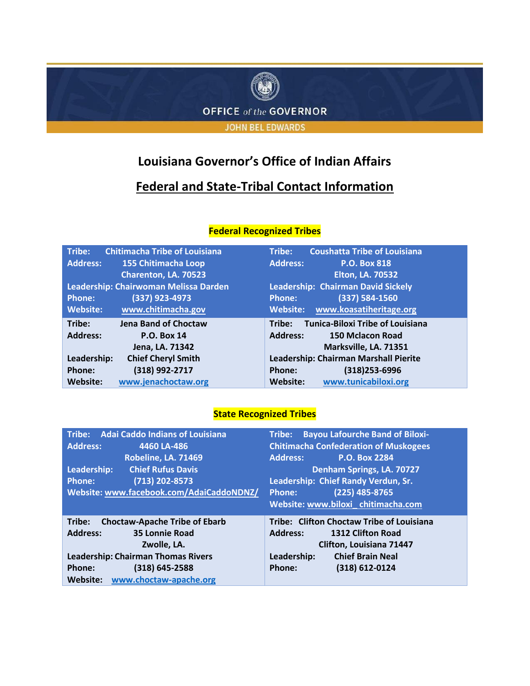

## **Louisiana Governor's Office of Indian Affairs**

## **Federal and State-Tribal Contact Information**

| Tribe:                                | <b>Chitimacha Tribe of Louisiana</b> | Tribe:          | <b>Coushatta Tribe of Louisiana</b>     |
|---------------------------------------|--------------------------------------|-----------------|-----------------------------------------|
| <b>Address:</b>                       | 155 Chitimacha Loop                  | <b>Address:</b> | <b>P.O. Box 818</b>                     |
|                                       | Charenton, LA. 70523                 |                 | <b>Elton, LA. 70532</b>                 |
| Leadership: Chairwoman Melissa Darden |                                      |                 | Leadership: Chairman David Sickely      |
| <b>Phone:</b>                         | (337) 923-4973                       | <b>Phone:</b>   | (337) 584-1560                          |
| <b>Website:</b>                       | www.chitimacha.gov                   | Website:        | www.koasatiheritage.org                 |
| Tribe:                                | <b>Jena Band of Choctaw</b>          | Tribe:          | <b>Tunica-Biloxi Tribe of Louisiana</b> |
| <b>Address:</b>                       | <b>P.O. Box 14</b>                   | <b>Address:</b> | <b>150 Mclacon Road</b>                 |
|                                       | Jena, LA. 71342                      |                 | Marksville, LA. 71351                   |
| Leadership:                           | <b>Chief Cheryl Smith</b>            |                 | Leadership: Chairman Marshall Pierite   |
| Phone:                                | (318) 992-2717                       | Phone:          | (318) 253-6996                          |
| <b>Website:</b>                       | www.jenachoctaw.org                  | <b>Website:</b> | www.tunicabiloxi.org                    |

## **Federal Recognized Tribes**

## **State Recognized Tribes**

| Tribe: Adai Caddo Indians of Louisiana         | <b>Bayou Lafourche Band of Biloxi-</b><br>Tribe: |  |
|------------------------------------------------|--------------------------------------------------|--|
| <b>Address:</b><br>4460 LA-486                 | <b>Chitimacha Confederation of Muskogees</b>     |  |
| <b>Robeline, LA. 71469</b>                     | <b>P.O. Box 2284</b><br><b>Address:</b>          |  |
| <b>Chief Rufus Davis</b><br>Leadership:        | Denham Springs, LA. 70727                        |  |
| $(713)$ 202-8573<br><b>Phone:</b>              | Leadership: Chief Randy Verdun, Sr.              |  |
| Website: www.facebook.com/AdaiCaddoNDNZ/       | $(225)$ 485-8765<br><b>Phone:</b>                |  |
|                                                | Website: www.biloxi_chitimacha.com               |  |
| <b>Choctaw-Apache Tribe of Ebarb</b><br>Tribe: |                                                  |  |
|                                                | Tribe: Clifton Choctaw Tribe of Louisiana        |  |
| <b>Address:</b><br><b>35 Lonnie Road</b>       | <b>Address:</b><br><b>1312 Clifton Road</b>      |  |
| Zwolle. LA.                                    | <b>Clifton, Louisiana 71447</b>                  |  |
| <b>Leadership: Chairman Thomas Rivers</b>      | Leadership:<br><b>Chief Brain Neal</b>           |  |
| $(318) 645 - 2588$<br>Phone:                   | (318) 612-0124<br>Phone:                         |  |